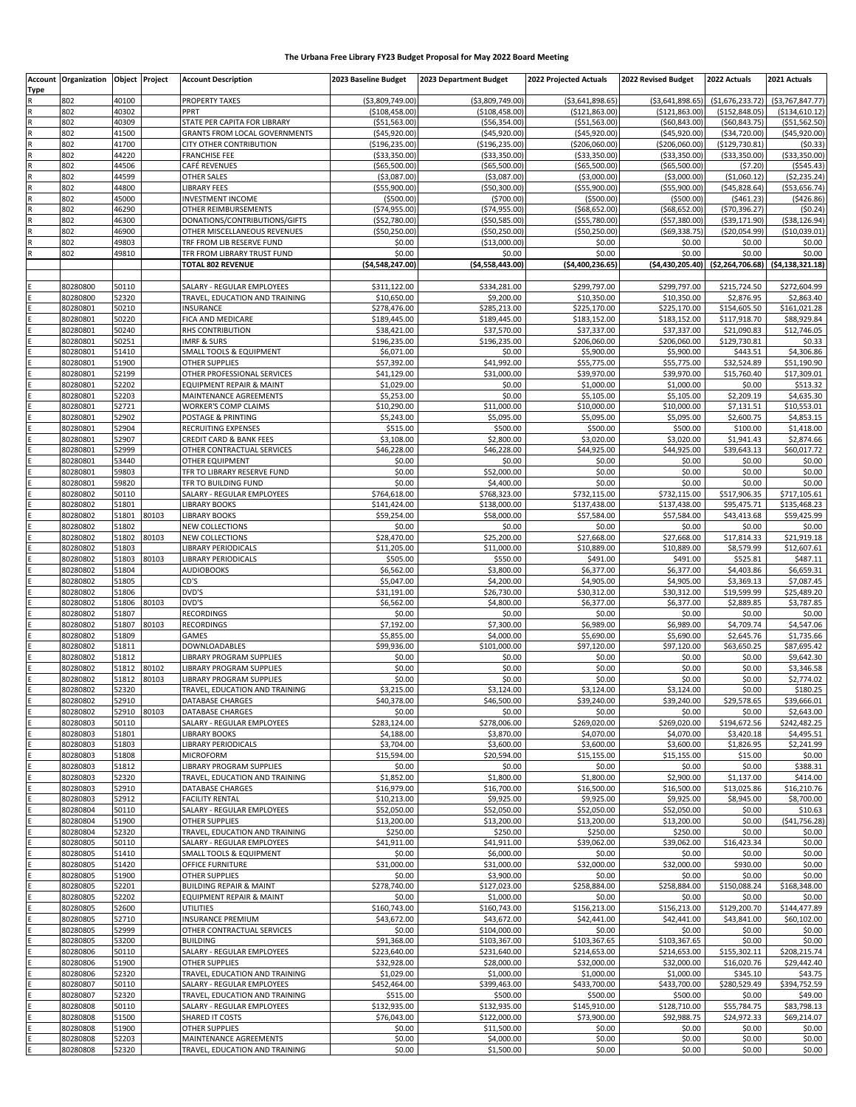## **The Urbana Free Library FY23 Budget Proposal for May 2022 Board Meeting**

|             | <b>Account Organization</b> |                | Object Project | <b>Account Description</b>                                 | 2023 Baseline Budget                | 2023 Department Budget               | 2022 Projected Actuals                | 2022 Revised Budget                 | 2022 Actuals                          | 2021 Actuals                          |
|-------------|-----------------------------|----------------|----------------|------------------------------------------------------------|-------------------------------------|--------------------------------------|---------------------------------------|-------------------------------------|---------------------------------------|---------------------------------------|
| <b>Type</b> |                             |                |                |                                                            |                                     |                                      |                                       |                                     |                                       |                                       |
| $\mathsf R$ | 802<br>802                  | 40100<br>40302 |                | <b>PROPERTY TAXES</b><br>PPRT                              | (\$3,809,749.00)<br>( \$108,458.00) | ( \$3,809,749.00)<br>( \$108,458.00) | ( \$3,641,898.65)<br>( \$121, 863.00) | ( \$3,641,898.65)<br>(\$121,863.00) | ( \$1,676,233.72)<br>( \$152, 848.05) | ( \$3,767,847.77)<br>( \$134, 610.12) |
|             | 802                         | 40309          |                | STATE PER CAPITA FOR LIBRARY                               | ( \$51, 563.00]                     | ( \$56, 354.00)                      | ( \$51, 563.00)                       | (560, 843.00)                       | ( \$60, 843.75)                       | ( \$51, 562.50)                       |
| R           | 802                         | 41500          |                | <b>GRANTS FROM LOCAL GOVERNMENTS</b>                       | (545, 920.00)                       | (\$45,920.00)                        | ( \$45, 920.00]                       | (545, 920.00)                       | ( \$34, 720.00)                       | ( \$45, 920.00)                       |
|             | 802                         | 41700          |                | CITY OTHER CONTRIBUTION                                    | ( \$196, 235.00]                    | ( \$196, 235.00)                     | (\$206,060.00)                        | (\$206,060.00)                      | ( \$129, 730.81)                      | (50.33)                               |
| R           | 802                         | 44220          |                | <b>FRANCHISE FEE</b>                                       | ( \$33, 350.00]                     | ( \$33,350.00)                       | ( \$33, 350.00)                       | ( \$33, 350.00)                     | ( \$33,350.00)                        | ( \$33,350.00)                        |
|             | 802                         | 44506          |                | CAFÉ REVENUES                                              | (\$65,500.00)                       | ( \$65,500.00)                       | ( \$65,500.00)                        | (\$65,500.00)                       | (57.20)                               | ( \$545.43)                           |
|             | 802                         | 44599          |                | OTHER SALES                                                | ( \$3,087.00]                       | (53,087.00)                          | ( \$3,000.00]                         | ( \$3,000.00]                       | ( \$1,060.12]                         | ( \$2, 235.24)                        |
|             | 802                         | 44800          |                | LIBRARY FEES                                               | ( \$55,900.00)                      | ( \$50, 300.00)                      | ( \$55, 900.00)                       | ( \$55,900.00)                      | (545, 828.64)                         | ( \$53,656.74)                        |
|             | 802                         | 45000          |                | <b>INVESTMENT INCOME</b>                                   | ( \$500.00]                         | ( \$700.00)                          | ( \$500.00]                           | ( \$500.00)                         | (5461.23)                             | (\$426.86)                            |
| R           | 802                         | 46290          |                | OTHER REIMBURSEMENTS                                       | ( \$74, 955.00 ]                    | (\$74,955.00)                        | ( \$68, 652.00]                       | (\$68,652.00)                       | ( \$70, 396.27]                       | (50.24)                               |
|             | 802                         | 46300          |                | DONATIONS/CONTRIBUTIONS/GIFTS                              | (\$52,780.00)                       | ( \$50, 585.00)                      | (555,780.00)                          | ( \$57, 380.00)                     | ( \$39,171.90)                        | ( \$38, 126.94)                       |
|             | 802                         | 46900          |                | OTHER MISCELLANEOUS REVENUES                               | ( \$50, 250.00]                     | ( \$50, 250.00)                      | ( \$50, 250.00]                       | ( \$69, 338.75]                     | ( \$20,054.99)                        | ( \$10,039.01]                        |
|             | 802                         | 49803          |                | TRF FROM LIB RESERVE FUND                                  | \$0.00                              | (\$13,000.00)                        | \$0.00                                | \$0.00                              | \$0.00                                | \$0.00                                |
|             | 802                         | 49810          |                | TFR FROM LIBRARY TRUST FUND                                | \$0.00                              | \$0.00                               | \$0.00                                | \$0.00                              | \$0.00                                | \$0.00                                |
|             |                             |                |                | <b>TOTAL 802 REVENUE</b>                                   | ( \$4,548,247.00]                   | (54,558,443.00)                      | ( \$4,400,236.65)                     | (54, 430, 205.40)                   | ( \$2, 264, 706.68)                   | (54, 138, 321.18)                     |
|             | 80280800                    | 50110          |                | SALARY - REGULAR EMPLOYEES                                 | \$311,122.00                        | \$334,281.00                         | \$299,797.00                          | \$299,797.00                        | \$215,724.50                          | \$272,604.99                          |
|             | 80280800                    | 52320          |                | TRAVEL, EDUCATION AND TRAINING                             | \$10,650.00                         | \$9,200.00                           | \$10,350.00                           | \$10,350.00                         | \$2,876.95                            | \$2,863.40                            |
|             | 80280801                    | 50210          |                | INSURANCE                                                  | \$278,476.00                        | \$285,213.00                         | \$225,170.00                          | \$225,170.00                        | \$154,605.50                          | \$161,021.28                          |
|             | 80280801                    | 50220          |                | FICA AND MEDICARE                                          | \$189,445.00                        | \$189,445.00                         | \$183,152.00                          | \$183,152.00                        | \$117,918.70                          | \$88,929.84                           |
|             | 80280801                    | 50240          |                | RHS CONTRIBUTION                                           | \$38,421.00                         | \$37,570.00                          | \$37,337.00                           | \$37,337.00                         | \$21,090.83                           | \$12,746.05                           |
|             | 80280801                    | 50251          |                | <b>IMRF &amp; SURS</b>                                     | \$196,235.00                        | \$196,235.00                         | \$206,060.00                          | \$206,060.00                        | \$129,730.81                          | \$0.33                                |
|             | 80280801                    | 51410          |                | SMALL TOOLS & EQUIPMENT                                    | \$6,071.00                          | \$0.00                               | \$5,900.00                            | \$5,900.00                          | \$443.51                              | \$4,306.86                            |
|             | 80280801                    | 51900          |                | OTHER SUPPLIES                                             | \$57,392.00                         | \$41,992.00                          | \$55,775.00                           | \$55,775.00                         | \$32,524.89                           | \$51,190.90                           |
|             | 80280801                    | 52199          |                | OTHER PROFESSIONAL SERVICES                                | \$41,129.00                         | \$31,000.00                          | \$39,970.00                           | \$39,970.00                         | \$15,760.40                           | \$17,309.01                           |
|             | 80280801                    | 52202          |                | EQUIPMENT REPAIR & MAINT                                   | \$1,029.00                          | \$0.00                               | \$1,000.00                            | \$1,000.00                          | \$0.00                                | \$513.32                              |
|             | 80280801                    | 52203          |                | MAINTENANCE AGREEMENTS                                     | \$5,253.00                          | \$0.00                               | \$5,105.00                            | \$5,105.00                          | \$2,209.19                            | \$4,635.30                            |
|             | 80280801                    | 52721<br>52902 |                | WORKER'S COMP CLAIMS                                       | \$10,290.00                         | \$11,000.00                          | \$10,000.00                           | \$10,000.00                         | \$7,131.51                            | \$10,553.01                           |
|             | 80280801<br>80280801        | 52904          |                | POSTAGE & PRINTING<br>RECRUITING EXPENSES                  | \$5,243.00<br>\$515.00              | \$5,095.00<br>\$500.00               | \$5,095.00<br>\$500.00                | \$5,095.00<br>\$500.00              | \$2,600.75<br>\$100.00                | \$4,853.15<br>\$1,418.00              |
|             | 80280801                    | 52907          |                | <b>CREDIT CARD &amp; BANK FEES</b>                         | \$3.108.00                          | \$2,800.00                           | \$3,020.00                            | \$3,020.00                          | \$1,941.43                            | \$2,874.66                            |
|             | 80280801                    | 52999          |                | OTHER CONTRACTUAL SERVICES                                 | \$46,228.00                         | \$46,228.00                          | \$44,925.00                           | \$44,925.00                         | \$39,643.13                           | \$60,017.72                           |
|             | 80280801                    | 53440          |                | OTHER EQUIPMENT                                            | \$0.00                              | \$0.00                               | \$0.00                                | \$0.00                              | \$0.00                                | \$0.00                                |
|             | 80280801                    | 59803          |                | TFR TO LIBRARY RESERVE FUND                                | \$0.00                              | \$52,000.00                          | \$0.00                                | \$0.00                              | \$0.00                                | \$0.00                                |
|             | 80280801                    | 59820          |                | TFR TO BUILDING FUND                                       | \$0.00                              | \$4,400.00                           | \$0.00                                | \$0.00                              | \$0.00                                | \$0.00                                |
|             | 80280802                    | 50110          |                | SALARY - REGULAR EMPLOYEES                                 | \$764,618.00                        | \$768,323.00                         | \$732,115.00                          | \$732,115.00                        | \$517,906.35                          | \$717,105.61                          |
|             | 80280802                    | 51801          |                | <b>LIBRARY BOOKS</b>                                       | \$141,424.00                        | \$138,000.00                         | \$137,438.00                          | \$137,438.00                        | \$95,475.71                           | \$135,468.23                          |
|             | 80280802                    | 51801          | 80103          | <b>LIBRARY BOOKS</b>                                       | \$59,254.00                         | \$58,000.00                          | \$57,584.00                           | \$57,584.00                         | \$43,413.68                           | \$59,425.99                           |
|             | 80280802                    | 51802          |                | <b>NEW COLLECTIONS</b>                                     | \$0.00                              | \$0.00                               | \$0.00                                | \$0.00                              | \$0.00                                | \$0.00                                |
|             | 80280802                    | 51802          | 80103          | NEW COLLECTIONS                                            | \$28,470.00                         | \$25,200.00                          | \$27,668.00                           | \$27,668.00                         | \$17,814.33                           | \$21,919.18                           |
|             | 80280802                    | 51803          |                | LIBRARY PERIODICALS                                        | \$11,205.00                         | \$11,000.00                          | \$10,889.00                           | \$10,889.00                         | \$8,579.99                            | \$12,607.61                           |
|             | 80280802                    | 51803          | 80103          | LIBRARY PERIODICALS                                        | \$505.00                            | \$550.00                             | \$491.00                              | \$491.00                            | \$525.81                              | \$487.11                              |
|             | 80280802                    | 51804          |                | <b>AUDIOBOOKS</b>                                          | \$6,562.00                          | \$3,800.00                           | \$6,377.00                            | \$6,377.00                          | \$4,403.86                            | \$6,659.31                            |
|             | 80280802<br>80280802        | 51805<br>51806 |                | CD'S<br>DVD'S                                              | \$5,047.00<br>\$31,191.00           | \$4,200.00<br>\$26,730.00            | \$4,905.00<br>\$30,312.00             | \$4,905.00<br>\$30,312.00           | \$3,369.13<br>\$19,599.99             | \$7,087.45<br>\$25,489.20             |
|             | 80280802                    | 51806          | 80103          | DVD'S                                                      | \$6,562.00                          | \$4,800.00                           | \$6,377.00                            | \$6,377.00                          | \$2,889.85                            | \$3,787.85                            |
|             | 80280802                    | 51807          |                | <b>RECORDINGS</b>                                          | \$0.00                              | \$0.00                               | \$0.00                                | \$0.00                              | \$0.00                                | \$0.00                                |
|             | 80280802                    | 51807          | 80103          | <b>RECORDINGS</b>                                          | \$7.192.00                          | \$7,300.00                           | \$6,989.00                            | \$6,989.00                          | \$4,709.74                            | \$4,547.06                            |
|             | 80280802                    | 51809          |                | GAMES                                                      | \$5,855.00                          | \$4,000.00                           | \$5,690.00                            | \$5,690.00                          | \$2,645.76                            | \$1,735.66                            |
|             | 80280802                    | 51811          |                | DOWNLOADABLES                                              | \$99,936.00                         | \$101,000.00                         | \$97,120.00                           | \$97,120.00                         | \$63,650.25                           | \$87,695.42                           |
|             | 80280802                    | 51812          |                | LIBRARY PROGRAM SUPPLIES                                   | \$0.00                              | \$0.00                               | \$0.00                                | \$0.00                              | \$0.00                                | \$9,642.30                            |
|             | 80280802                    | 51812          | 80102          | <b>LIBRARY PROGRAM SUPPLIES</b>                            | \$0.00                              | \$0.00                               | \$0.00                                | \$0.00                              | \$0.00                                | \$3,346.58                            |
|             | 80280802                    | 51812          | 80103          | LIBRARY PROGRAM SUPPLIES                                   | \$0.00                              | \$0.00                               | \$0.00                                | \$0.00                              | \$0.00                                | \$2,774.02                            |
|             | 80280802                    | 52320          |                | TRAVEL, EDUCATION AND TRAINING                             | \$3,215.00                          | \$3,124.00                           | \$3,124.00                            | \$3,124.00                          | \$0.00                                | \$180.25                              |
|             | 80280802                    | 52910          |                | DATABASE CHARGES                                           | \$40,378.00                         | \$46,500.00                          | \$39,240.00                           | \$39,240.00                         | \$29,578.65                           | \$39,666.01                           |
|             | 80280802                    | 52910          | 80103          | DATABASE CHARGES                                           | \$0.00                              | \$0.00                               | \$0.00                                | \$0.00                              | \$0.00                                | \$2,643.00                            |
|             | 80280803                    | 50110          |                | SALARY - REGULAR EMPLOYEES                                 | \$283.124.00                        | \$278,006.00                         | \$269,020.00                          | \$269,020.00                        | \$194.672.56                          | \$242,482.25                          |
|             | 80280803                    | 51801          |                | LIBRARY BOOKS                                              | \$4,188.00                          | \$3,870.00                           | \$4,070.00                            | \$4,070.00                          | \$3,420.18                            | \$4,495.51                            |
|             | 80280803                    | 51803          |                | LIBRARY PERIODICALS                                        | \$3,704.00                          | \$3,600.00                           | \$3,600.00                            | \$3,600.00                          | \$1,826.95                            | \$2,241.99                            |
|             | 80280803<br>80280803        | 51808<br>51812 |                | <b>MICROFORM</b>                                           | \$15,594.00                         | \$20,594.00                          | \$15,155.00                           | \$15,155.00                         | \$15.00                               | \$0.00<br>\$388.31                    |
|             | 80280803                    | 52320          |                | LIBRARY PROGRAM SUPPLIES<br>TRAVEL, EDUCATION AND TRAINING | \$0.00<br>\$1,852.00                | \$0.00<br>\$1,800.00                 | \$0.00<br>\$1,800.00                  | \$0.00<br>\$2,900.00                | \$0.00<br>\$1,137.00                  | \$414.00                              |
|             | 80280803                    | 52910          |                | DATABASE CHARGES                                           | \$16,979.00                         | \$16,700.00                          | \$16,500.00                           | \$16,500.00                         | \$13,025.86                           | \$16,210.76                           |
|             | 80280803                    | 52912          |                | <b>FACILITY RENTAL</b>                                     | \$10,213.00                         | \$9,925.00                           | \$9,925.00                            | \$9,925.00                          | \$8,945.00                            | \$8,700.00                            |
|             | 80280804                    | 50110          |                | SALARY - REGULAR EMPLOYEES                                 | \$52,050.00                         | \$52,050.00                          | \$52,050.00                           | \$52,050.00                         | \$0.00                                | \$10.63                               |
|             | 80280804                    | 51900          |                | <b>OTHER SUPPLIES</b>                                      | \$13,200.00                         | \$13,200.00                          | \$13,200.00                           | \$13,200.00                         | \$0.00                                | (541, 756.28)                         |
|             | 80280804                    | 52320          |                | TRAVEL, EDUCATION AND TRAINING                             | \$250.00                            | \$250.00                             | \$250.00                              | \$250.00                            | \$0.00                                | \$0.00                                |
|             | 80280805                    | 50110          |                | SALARY - REGULAR EMPLOYEES                                 | \$41,911.00                         | \$41,911.00                          | \$39,062.00                           | \$39,062.00                         | \$16,423.34                           | \$0.00                                |
|             | 80280805                    | 51410          |                | SMALL TOOLS & EQUIPMENT                                    | \$0.00                              | \$6,000.00                           | \$0.00                                | \$0.00                              | \$0.00                                | \$0.00                                |
|             | 80280805                    | 51420          |                | OFFICE FURNITURE                                           | \$31,000.00                         | \$31,000.00                          | \$32,000.00                           | \$32,000.00                         | \$930.00                              | \$0.00                                |
|             | 80280805                    | 51900          |                | <b>OTHER SUPPLIES</b>                                      | \$0.00                              | \$3,900.00                           | \$0.00                                | \$0.00                              | \$0.00                                | \$0.00                                |
|             | 80280805                    | 52201          |                | <b>BUILDING REPAIR &amp; MAINT</b>                         | \$278,740.00                        | \$127,023.00                         | \$258,884.00                          | \$258,884.00                        | \$150,088.24                          | \$168,348.00                          |
|             | 80280805                    | 52202          |                | EQUIPMENT REPAIR & MAINT                                   | \$0.00                              | \$1,000.00                           | \$0.00                                | \$0.00                              | \$0.00                                | \$0.00                                |
|             | 80280805                    | 52600          |                | UTILITIES                                                  | \$160,743.00                        | \$160,743.00                         | \$156,213.00                          | \$156,213.00                        | \$129,200.70                          | \$144,477.89                          |
|             | 80280805                    | 52710          |                | <b>INSURANCE PREMIUM</b>                                   | \$43,672.00                         | \$43,672.00                          | \$42,441.00                           | \$42,441.00                         | \$43,841.00                           | \$60,102.00                           |
|             | 80280805<br>80280805        | 52999<br>53200 |                | OTHER CONTRACTUAL SERVICES<br><b>BUILDING</b>              | \$0.00<br>\$91,368.00               | \$104,000.00<br>\$103,367.00         | \$0.00<br>\$103,367.65                | \$0.00<br>\$103,367.65              | \$0.00<br>\$0.00                      | \$0.00<br>\$0.00                      |
|             | 80280806                    | 50110          |                | SALARY - REGULAR EMPLOYEES                                 | \$223,640.00                        | \$231,640.00                         | \$214,653.00                          | \$214,653.00                        | \$155,302.11                          | \$208,215.74                          |
|             | 80280806                    | 51900          |                | OTHER SUPPLIES                                             | \$32,928.00                         | \$28,000.00                          | \$32,000.00                           | \$32,000.00                         | \$16,020.76                           | \$29,442.40                           |
|             | 80280806                    | 52320          |                | TRAVEL, EDUCATION AND TRAINING                             | \$1,029.00                          | \$1,000.00                           | \$1,000.00                            | \$1,000.00                          | \$345.10                              | \$43.75                               |
|             | 80280807                    | 50110          |                | SALARY - REGULAR EMPLOYEES                                 | \$452,464.00                        | \$399,463.00                         | \$433,700.00                          | \$433,700.00                        | \$280,529.49                          | \$394,752.59                          |
|             | 80280807                    | 52320          |                | TRAVEL, EDUCATION AND TRAINING                             | \$515.00                            | \$500.00                             | \$500.00                              | \$500.00                            | \$0.00                                | \$49.00                               |
|             | 80280808                    | 50110          |                | SALARY - REGULAR EMPLOYEES                                 | \$132,935.00                        | \$132,935.00                         | \$145,910.00                          | \$128,710.00                        | \$55,784.75                           | \$83,798.13                           |
|             | 80280808                    | 51500          |                | SHARED IT COSTS                                            | \$76,043.00                         | \$122,000.00                         | \$73,900.00                           | \$92,988.75                         | \$24,972.33                           | \$69,214.07                           |
|             | 80280808                    | 51900          |                | OTHER SUPPLIES                                             | \$0.00                              | \$11,500.00                          | \$0.00                                | \$0.00                              | \$0.00                                | \$0.00                                |
|             | 80280808                    | 52203          |                | MAINTENANCE AGREEMENTS                                     | \$0.00                              | \$4,000.00                           | \$0.00                                | \$0.00                              | \$0.00                                | \$0.00                                |
|             | 80280808                    | 52320          |                | TRAVEL, EDUCATION AND TRAINING                             | \$0.00                              | \$1,500.00                           | \$0.00                                | \$0.00                              | \$0.00                                | \$0.00                                |